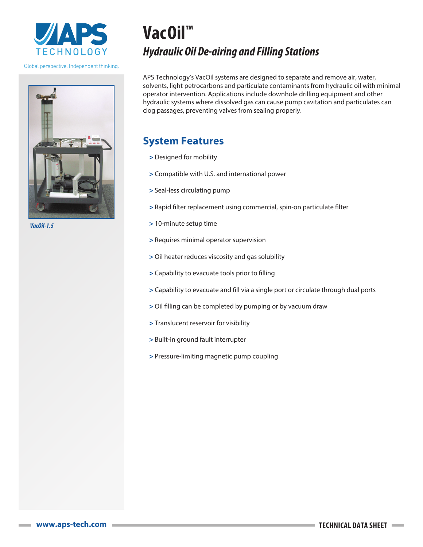

Global perspective. Independent thinking.



*VacOil-1.5*

# **VacOil™** *Hydraulic Oil De-airing and Filling Stations*

APS Technology's VacOil systems are designed to separate and remove air, water, solvents, light petrocarbons and particulate contaminants from hydraulic oil with minimal operator intervention. Applications include downhole drilling equipment and other hydraulic systems where dissolved gas can cause pump cavitation and particulates can clog passages, preventing valves from sealing properly.

## **System Features**

- **>** Designed for mobility
- **>** Compatible with U.S. and international power
- **>** Seal-less circulating pump
- **>** Rapid filter replacement using commercial, spin-on particulate filter
- **>** 10-minute setup time
- **>** Requires minimal operator supervision
- **>** Oil heater reduces viscosity and gas solubility
- **>** Capability to evacuate tools prior to filling
- **>** Capability to evacuate and fill via a single port or circulate through dual ports
- **>** Oil filling can be completed by pumping or by vacuum draw
- **>** Translucent reservoir for visibility
- **>** Built-in ground fault interrupter
- **>** Pressure-limiting magnetic pump coupling